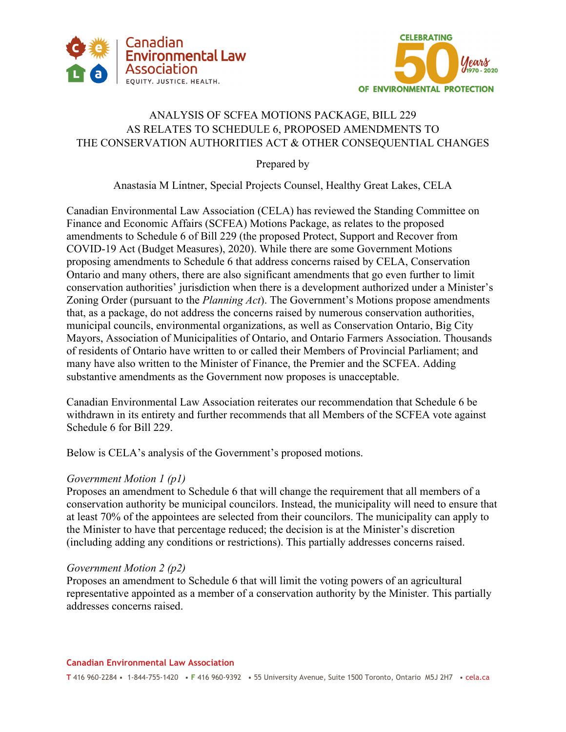



# ANALYSIS OF SCFEA MOTIONS PACKAGE, BILL 229 AS RELATES TO SCHEDULE 6, PROPOSED AMENDMENTS TO THE CONSERVATION AUTHORITIES ACT & OTHER CONSEQUENTIAL CHANGES

Prepared by

Anastasia M Lintner, Special Projects Counsel, Healthy Great Lakes, CELA

Canadian Environmental Law Association (CELA) has reviewed the Standing Committee on Finance and Economic Affairs (SCFEA) Motions Package, as relates to the proposed amendments to Schedule 6 of Bill 229 (the proposed Protect, Support and Recover from COVID-19 Act (Budget Measures), 2020). While there are some Government Motions proposing amendments to Schedule 6 that address concerns raised by CELA, Conservation Ontario and many others, there are also significant amendments that go even further to limit conservation authorities' jurisdiction when there is a development authorized under a Minister's Zoning Order (pursuant to the *Planning Act*). The Government's Motions propose amendments that, as a package, do not address the concerns raised by numerous conservation authorities, municipal councils, environmental organizations, as well as Conservation Ontario, Big City Mayors, Association of Municipalities of Ontario, and Ontario Farmers Association. Thousands of residents of Ontario have written to or called their Members of Provincial Parliament; and many have also written to the Minister of Finance, the Premier and the SCFEA. Adding substantive amendments as the Government now proposes is unacceptable.

Canadian Environmental Law Association reiterates our recommendation that Schedule 6 be withdrawn in its entirety and further recommends that all Members of the SCFEA vote against Schedule 6 for Bill 229.

Below is CELA's analysis of the Government's proposed motions.

## *Government Motion 1 (p1)*

Proposes an amendment to Schedule 6 that will change the requirement that all members of a conservation authority be municipal councilors. Instead, the municipality will need to ensure that at least 70% of the appointees are selected from their councilors. The municipality can apply to the Minister to have that percentage reduced; the decision is at the Minister's discretion (including adding any conditions or restrictions). This partially addresses concerns raised.

### *Government Motion 2 (p2)*

Proposes an amendment to Schedule 6 that will limit the voting powers of an agricultural representative appointed as a member of a conservation authority by the Minister. This partially addresses concerns raised.

#### **Canadian Environmental Law Association**

**T** 416 960-2284 • 1-844-755-1420 • **F** 416 960-9392 • 55 University Avenue, Suite 1500 Toronto, Ontario M5J 2H7 • cela.ca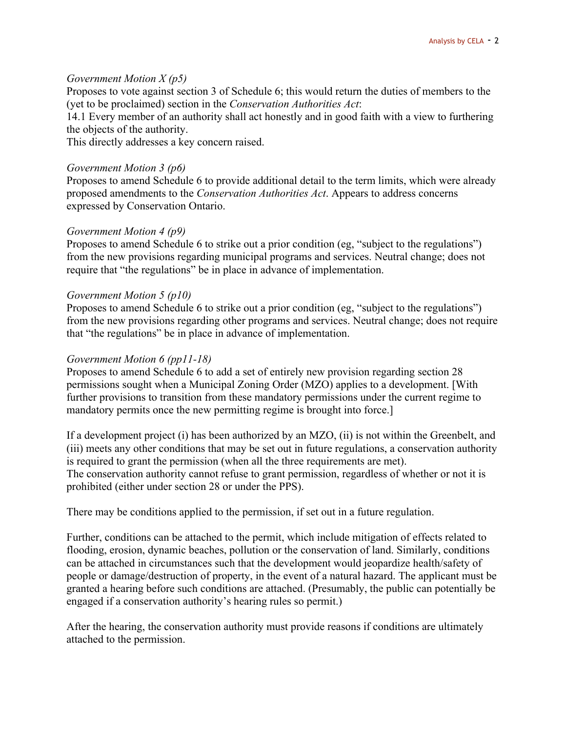### *Government Motion X (p5)*

Proposes to vote against section 3 of Schedule 6; this would return the duties of members to the (yet to be proclaimed) section in the *Conservation Authorities Act*:

14.1 Every member of an authority shall act honestly and in good faith with a view to furthering the objects of the authority.

This directly addresses a key concern raised.

### *Government Motion 3 (p6)*

Proposes to amend Schedule 6 to provide additional detail to the term limits, which were already proposed amendments to the *Conservation Authorities Act*. Appears to address concerns expressed by Conservation Ontario.

### *Government Motion 4 (p9)*

Proposes to amend Schedule 6 to strike out a prior condition (eg, "subject to the regulations") from the new provisions regarding municipal programs and services. Neutral change; does not require that "the regulations" be in place in advance of implementation.

### *Government Motion 5 (p10)*

Proposes to amend Schedule 6 to strike out a prior condition (eg, "subject to the regulations") from the new provisions regarding other programs and services. Neutral change; does not require that "the regulations" be in place in advance of implementation.

### *Government Motion 6 (pp11-18)*

Proposes to amend Schedule 6 to add a set of entirely new provision regarding section 28 permissions sought when a Municipal Zoning Order (MZO) applies to a development. [With further provisions to transition from these mandatory permissions under the current regime to mandatory permits once the new permitting regime is brought into force.]

If a development project (i) has been authorized by an MZO, (ii) is not within the Greenbelt, and (iii) meets any other conditions that may be set out in future regulations, a conservation authority is required to grant the permission (when all the three requirements are met). The conservation authority cannot refuse to grant permission, regardless of whether or not it is prohibited (either under section 28 or under the PPS).

There may be conditions applied to the permission, if set out in a future regulation.

Further, conditions can be attached to the permit, which include mitigation of effects related to flooding, erosion, dynamic beaches, pollution or the conservation of land. Similarly, conditions can be attached in circumstances such that the development would jeopardize health/safety of people or damage/destruction of property, in the event of a natural hazard. The applicant must be granted a hearing before such conditions are attached. (Presumably, the public can potentially be engaged if a conservation authority's hearing rules so permit.)

After the hearing, the conservation authority must provide reasons if conditions are ultimately attached to the permission.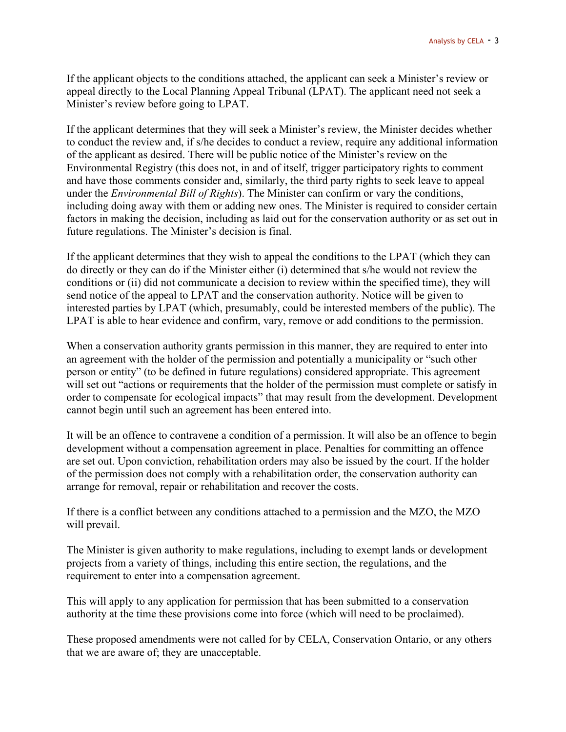If the applicant objects to the conditions attached, the applicant can seek a Minister's review or appeal directly to the Local Planning Appeal Tribunal (LPAT). The applicant need not seek a Minister's review before going to LPAT.

If the applicant determines that they will seek a Minister's review, the Minister decides whether to conduct the review and, if s/he decides to conduct a review, require any additional information of the applicant as desired. There will be public notice of the Minister's review on the Environmental Registry (this does not, in and of itself, trigger participatory rights to comment and have those comments consider and, similarly, the third party rights to seek leave to appeal under the *Environmental Bill of Rights*). The Minister can confirm or vary the conditions, including doing away with them or adding new ones. The Minister is required to consider certain factors in making the decision, including as laid out for the conservation authority or as set out in future regulations. The Minister's decision is final.

If the applicant determines that they wish to appeal the conditions to the LPAT (which they can do directly or they can do if the Minister either (i) determined that s/he would not review the conditions or (ii) did not communicate a decision to review within the specified time), they will send notice of the appeal to LPAT and the conservation authority. Notice will be given to interested parties by LPAT (which, presumably, could be interested members of the public). The LPAT is able to hear evidence and confirm, vary, remove or add conditions to the permission.

When a conservation authority grants permission in this manner, they are required to enter into an agreement with the holder of the permission and potentially a municipality or "such other person or entity" (to be defined in future regulations) considered appropriate. This agreement will set out "actions or requirements that the holder of the permission must complete or satisfy in order to compensate for ecological impacts" that may result from the development. Development cannot begin until such an agreement has been entered into.

It will be an offence to contravene a condition of a permission. It will also be an offence to begin development without a compensation agreement in place. Penalties for committing an offence are set out. Upon conviction, rehabilitation orders may also be issued by the court. If the holder of the permission does not comply with a rehabilitation order, the conservation authority can arrange for removal, repair or rehabilitation and recover the costs.

If there is a conflict between any conditions attached to a permission and the MZO, the MZO will prevail.

The Minister is given authority to make regulations, including to exempt lands or development projects from a variety of things, including this entire section, the regulations, and the requirement to enter into a compensation agreement.

This will apply to any application for permission that has been submitted to a conservation authority at the time these provisions come into force (which will need to be proclaimed).

These proposed amendments were not called for by CELA, Conservation Ontario, or any others that we are aware of; they are unacceptable.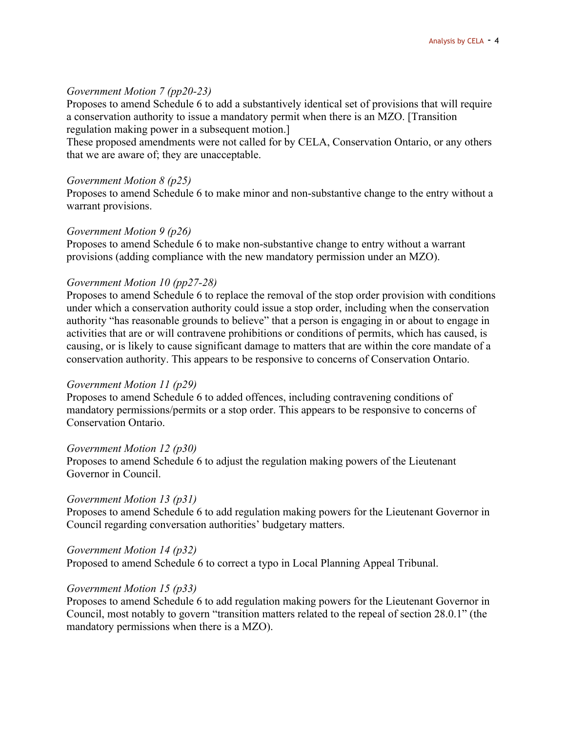### *Government Motion 7 (pp20-23)*

Proposes to amend Schedule 6 to add a substantively identical set of provisions that will require a conservation authority to issue a mandatory permit when there is an MZO. [Transition regulation making power in a subsequent motion.]

These proposed amendments were not called for by CELA, Conservation Ontario, or any others that we are aware of; they are unacceptable.

#### *Government Motion 8 (p25)*

Proposes to amend Schedule 6 to make minor and non-substantive change to the entry without a warrant provisions.

#### *Government Motion 9 (p26)*

Proposes to amend Schedule 6 to make non-substantive change to entry without a warrant provisions (adding compliance with the new mandatory permission under an MZO).

#### *Government Motion 10 (pp27-28)*

Proposes to amend Schedule 6 to replace the removal of the stop order provision with conditions under which a conservation authority could issue a stop order, including when the conservation authority "has reasonable grounds to believe" that a person is engaging in or about to engage in activities that are or will contravene prohibitions or conditions of permits, which has caused, is causing, or is likely to cause significant damage to matters that are within the core mandate of a conservation authority. This appears to be responsive to concerns of Conservation Ontario.

#### *Government Motion 11 (p29)*

Proposes to amend Schedule 6 to added offences, including contravening conditions of mandatory permissions/permits or a stop order. This appears to be responsive to concerns of Conservation Ontario.

#### *Government Motion 12 (p30)*

Proposes to amend Schedule 6 to adjust the regulation making powers of the Lieutenant Governor in Council.

### *Government Motion 13 (p31)*

Proposes to amend Schedule 6 to add regulation making powers for the Lieutenant Governor in Council regarding conversation authorities' budgetary matters.

*Government Motion 14 (p32)* 

Proposed to amend Schedule 6 to correct a typo in Local Planning Appeal Tribunal.

### *Government Motion 15 (p33)*

Proposes to amend Schedule 6 to add regulation making powers for the Lieutenant Governor in Council, most notably to govern "transition matters related to the repeal of section 28.0.1" (the mandatory permissions when there is a MZO).